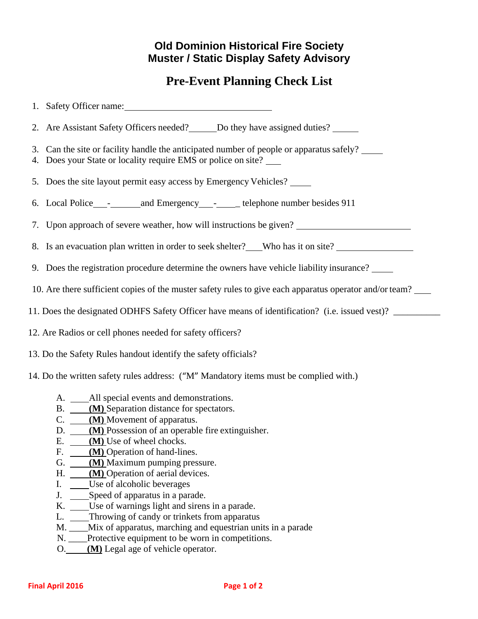## **Old Dominion Historical Fire Society Muster / Static Display Safety Advisory**

## **Pre-Event Planning Check List**

| 1. Safety Officer name:                                                                                                                                                                                                                                                                                                                                                                                                                                                                                                                                                                                                                                                                                                     |
|-----------------------------------------------------------------------------------------------------------------------------------------------------------------------------------------------------------------------------------------------------------------------------------------------------------------------------------------------------------------------------------------------------------------------------------------------------------------------------------------------------------------------------------------------------------------------------------------------------------------------------------------------------------------------------------------------------------------------------|
| 2. Are Assistant Safety Officers needed? ______ Do they have assigned duties? ______                                                                                                                                                                                                                                                                                                                                                                                                                                                                                                                                                                                                                                        |
| 3. Can the site or facility handle the anticipated number of people or apparatus safely?<br>4. Does your State or locality require EMS or police on site?                                                                                                                                                                                                                                                                                                                                                                                                                                                                                                                                                                   |
| 5. Does the site layout permit easy access by Emergency Vehicles?                                                                                                                                                                                                                                                                                                                                                                                                                                                                                                                                                                                                                                                           |
|                                                                                                                                                                                                                                                                                                                                                                                                                                                                                                                                                                                                                                                                                                                             |
| 7. Upon approach of severe weather, how will instructions be given? ________________________________                                                                                                                                                                                                                                                                                                                                                                                                                                                                                                                                                                                                                        |
| 8. Is an evacuation plan written in order to seek shelter? Who has it on site?                                                                                                                                                                                                                                                                                                                                                                                                                                                                                                                                                                                                                                              |
| 9. Does the registration procedure determine the owners have vehicle liability insurance?                                                                                                                                                                                                                                                                                                                                                                                                                                                                                                                                                                                                                                   |
| 10. Are there sufficient copies of the muster safety rules to give each apparatus operator and/or team?                                                                                                                                                                                                                                                                                                                                                                                                                                                                                                                                                                                                                     |
| 11. Does the designated ODHFS Safety Officer have means of identification? (i.e. issued vest)?                                                                                                                                                                                                                                                                                                                                                                                                                                                                                                                                                                                                                              |
| 12. Are Radios or cell phones needed for safety officers?                                                                                                                                                                                                                                                                                                                                                                                                                                                                                                                                                                                                                                                                   |
| 13. Do the Safety Rules handout identify the safety officials?                                                                                                                                                                                                                                                                                                                                                                                                                                                                                                                                                                                                                                                              |
| 14. Do the written safety rules address: ("M" Mandatory items must be complied with.)                                                                                                                                                                                                                                                                                                                                                                                                                                                                                                                                                                                                                                       |
| A. ______ All special events and demonstrations.<br>B. (M) Separation distance for spectators.<br>$C.$ $(M)$ Movement of apparatus.<br>(M) Possession of an operable fire extinguisher.<br>D.<br>(M) Use of wheel chocks.<br>Е.<br>F.<br>(M) Operation of hand-lines.<br>(M) Maximum pumping pressure.<br>G.<br>(M) Operation of aerial devices.<br>H.<br>Use of alcoholic beverages<br>I.<br>Speed of apparatus in a parade.<br>J.<br>K.<br>Use of warnings light and sirens in a parade.<br>Throwing of candy or trinkets from apparatus<br>L.<br>M. ___Mix of apparatus, marching and equestrian units in a parade<br>Protective equipment to be worn in competitions.<br>N.<br>(M) Legal age of vehicle operator.<br>O. |